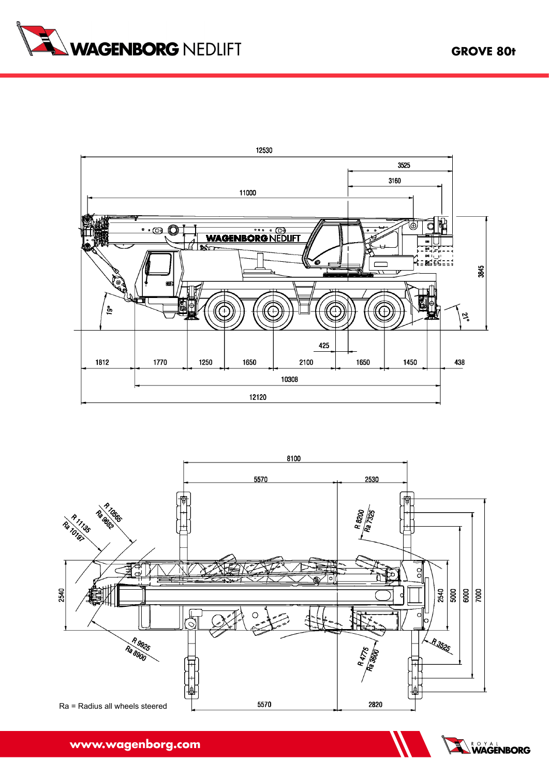



**Grove 80 t**





**www.wagenborg.com www.wagenborg.com**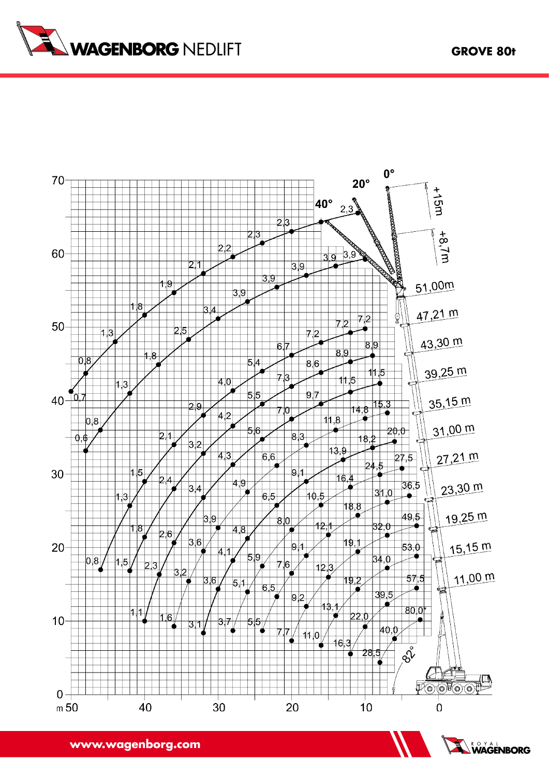



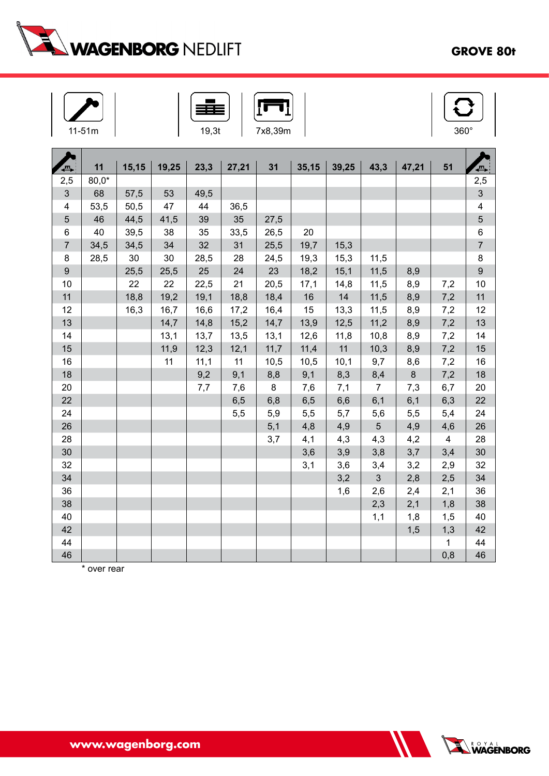

## **Grove 80t**

| -51m<br>1<br>$\overline{a}$ |  |
|-----------------------------|--|







| Д                       | 11      | 15,15 | 19,25 | 23,3 | 27,21 | 31   | 35,15 | 39,25 | 43,3           | 47,21 | 51             | $\blacksquare$           |
|-------------------------|---------|-------|-------|------|-------|------|-------|-------|----------------|-------|----------------|--------------------------|
| 2,5                     | $80,0*$ |       |       |      |       |      |       |       |                |       |                | 2,5                      |
| 3                       | 68      | 57,5  | 53    | 49,5 |       |      |       |       |                |       |                | 3                        |
| $\overline{\mathbf{4}}$ | 53,5    | 50,5  | 47    | 44   | 36,5  |      |       |       |                |       |                | 4                        |
| $\sqrt{5}$              | 46      | 44,5  | 41,5  | 39   | 35    | 27,5 |       |       |                |       |                | 5                        |
| $\,6$                   | 40      | 39,5  | 38    | 35   | 33,5  | 26,5 | 20    |       |                |       |                | 6                        |
| $\overline{7}$          | 34,5    | 34,5  | 34    | 32   | 31    | 25,5 | 19,7  | 15,3  |                |       |                | $\overline{\mathcal{I}}$ |
| 8                       | 28,5    | 30    | 30    | 28,5 | 28    | 24,5 | 19,3  | 15,3  | 11,5           |       |                | 8                        |
| $\boldsymbol{9}$        |         | 25,5  | 25,5  | 25   | 24    | 23   | 18,2  | 15,1  | 11,5           | 8,9   |                | $\boldsymbol{9}$         |
| 10                      |         | 22    | 22    | 22,5 | 21    | 20,5 | 17,1  | 14,8  | 11,5           | 8,9   | 7,2            | 10                       |
| 11                      |         | 18,8  | 19,2  | 19,1 | 18,8  | 18,4 | 16    | 14    | 11,5           | 8,9   | 7,2            | 11                       |
| 12                      |         | 16,3  | 16,7  | 16,6 | 17,2  | 16,4 | 15    | 13,3  | 11,5           | 8,9   | 7,2            | 12                       |
| 13                      |         |       | 14,7  | 14,8 | 15,2  | 14,7 | 13,9  | 12,5  | 11,2           | 8,9   | 7,2            | 13                       |
| 14                      |         |       | 13,1  | 13,7 | 13,5  | 13,1 | 12,6  | 11,8  | 10,8           | 8,9   | 7,2            | 14                       |
| 15                      |         |       | 11,9  | 12,3 | 12,1  | 11,7 | 11,4  | 11    | 10,3           | 8,9   | 7,2            | 15                       |
| 16                      |         |       | 11    | 11,1 | 11    | 10,5 | 10,5  | 10,1  | 9,7            | 8,6   | 7,2            | 16                       |
| 18                      |         |       |       | 9,2  | 9,1   | 8,8  | 9,1   | 8,3   | 8,4            | 8     | 7,2            | 18                       |
| 20                      |         |       |       | 7,7  | 7,6   | 8    | 7,6   | 7,1   | $\overline{7}$ | 7,3   | 6,7            | 20                       |
| 22                      |         |       |       |      | 6, 5  | 6,8  | 6,5   | 6,6   | 6,1            | 6,1   | 6,3            | 22                       |
| 24                      |         |       |       |      | 5,5   | 5,9  | 5,5   | 5,7   | 5,6            | 5,5   | 5,4            | 24                       |
| 26                      |         |       |       |      |       | 5,1  | 4,8   | 4,9   | 5              | 4,9   | 4,6            | 26                       |
| 28                      |         |       |       |      |       | 3,7  | 4,1   | 4,3   | 4,3            | 4,2   | $\overline{4}$ | 28                       |
| 30                      |         |       |       |      |       |      | 3,6   | 3,9   | 3,8            | 3,7   | 3,4            | 30                       |
| 32                      |         |       |       |      |       |      | 3,1   | 3,6   | 3,4            | 3,2   | 2,9            | 32                       |
| 34                      |         |       |       |      |       |      |       | 3,2   | 3              | 2,8   | 2,5            | 34                       |
| 36                      |         |       |       |      |       |      |       | 1,6   | 2,6            | 2,4   | 2,1            | 36                       |
| 38                      |         |       |       |      |       |      |       |       | 2,3            | 2,1   | 1,8            | 38                       |
| 40                      |         |       |       |      |       |      |       |       | 1,1            | 1,8   | 1,5            | 40                       |
| 42                      |         |       |       |      |       |      |       |       |                | 1,5   | 1,3            | 42                       |
| 44                      |         |       |       |      |       |      |       |       |                |       | 1              | 44                       |
| 46                      |         |       |       |      |       |      |       |       |                |       | 0,8            | 46                       |

\* over rear

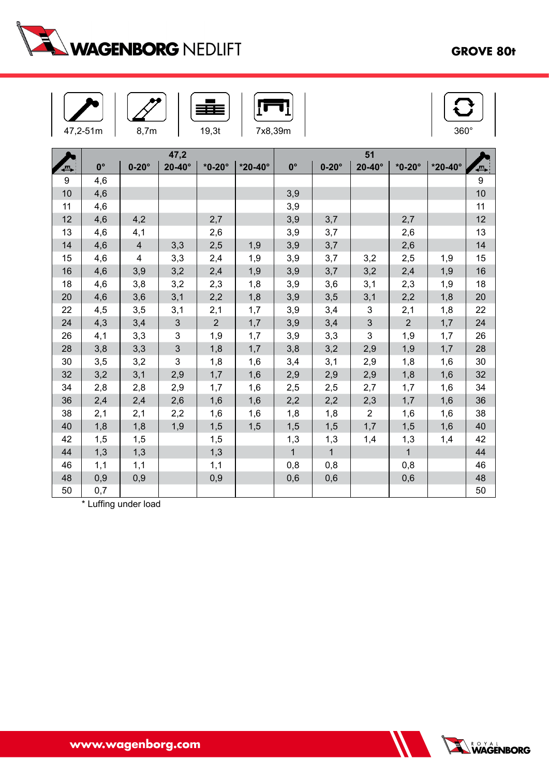

## **Grove 80t**

|                  | 47,2-51m    | 8,7m           |                | 19,3t          | 7x8,39m        |              | $360^\circ$  |                |                |                |    |  |
|------------------|-------------|----------------|----------------|----------------|----------------|--------------|--------------|----------------|----------------|----------------|----|--|
|                  |             |                | 47,2           |                |                |              |              |                |                |                |    |  |
| 9                | $0^{\circ}$ | $0-20^\circ$   | $20-40^\circ$  | $*0-20^\circ$  | $*20-40^\circ$ | $0^{\circ}$  | $0-20^\circ$ | $20-40^\circ$  | $*0-20^\circ$  | $*20-40^\circ$ | €  |  |
| $\boldsymbol{9}$ | 4,6         |                |                |                |                |              |              |                |                |                | 9  |  |
| 10               | 4,6         |                |                |                |                | 3,9          |              |                |                |                | 10 |  |
| 11               | 4,6         |                |                |                |                | 3,9          |              |                |                |                | 11 |  |
| 12               | 4,6         | 4,2            |                | 2,7            |                | 3,9          | 3,7          |                | 2,7            |                | 12 |  |
| 13               | 4,6         | 4,1            |                | 2,6            |                | 3,9          | 3,7          |                | 2,6            |                | 13 |  |
| 14               | 4,6         | $\overline{4}$ | 3,3            | 2,5            | 1,9            | 3,9          | 3,7          |                | 2,6            |                | 14 |  |
| 15               | 4,6         | 4              | 3,3            | 2,4            | 1,9            | 3,9          | 3,7          | 3,2            | 2,5            | 1,9            | 15 |  |
| 16               | 4,6         | 3,9            | 3,2            | 2,4            | 1,9            | 3,9          | 3,7          | 3,2            | 2,4            | 1,9            | 16 |  |
| 18               | 4,6         | 3,8            | 3,2            | 2,3            | 1,8            | 3,9          | 3,6          | 3,1            | 2,3            | 1,9            | 18 |  |
| 20               | 4,6         | 3,6            | 3,1            | 2,2            | 1,8            | 3,9          | 3,5          | 3,1            | 2,2            | 1,8            | 20 |  |
| 22               | 4,5         | 3,5            | 3,1            | 2,1            | 1,7            | 3,9          | 3,4          | 3              | 2,1            | 1,8            | 22 |  |
| 24               | 4,3         | 3,4            | 3              | $\overline{2}$ | 1,7            | 3,9          | 3,4          | $\mathfrak{S}$ | $\overline{2}$ | 1,7            | 24 |  |
| 26               | 4,1         | 3,3            | 3              | 1,9            | 1,7            | 3,9          | 3,3          | 3              | 1,9            | 1,7            | 26 |  |
| 28               | 3,8         | 3,3            | $\mathfrak{S}$ | 1,8            | 1,7            | 3,8          | 3,2          | 2,9            | 1,9            | 1,7            | 28 |  |
| 30               | 3,5         | 3,2            | 3              | 1,8            | 1,6            | 3,4          | 3,1          | 2,9            | 1,8            | 1,6            | 30 |  |
| 32               | 3,2         | 3,1            | 2,9            | 1,7            | 1,6            | 2,9          | 2,9          | 2,9            | 1,8            | 1,6            | 32 |  |
| 34               | 2,8         | 2,8            | 2,9            | 1,7            | 1,6            | 2,5          | 2,5          | 2,7            | 1,7            | 1,6            | 34 |  |
| 36               | 2,4         | 2,4            | 2,6            | 1,6            | 1,6            | 2,2          | 2,2          | 2,3            | 1,7            | 1,6            | 36 |  |
| 38               | 2,1         | 2,1            | 2,2            | 1,6            | 1,6            | 1,8          | 1,8          | $\overline{2}$ | 1,6            | 1,6            | 38 |  |
| 40               | 1,8         | 1,8            | 1,9            | 1,5            | 1,5            | 1,5          | 1,5          | 1,7            | 1,5            | 1,6            | 40 |  |
| 42               | 1,5         | 1,5            |                | 1,5            |                | 1,3          | 1,3          | 1,4            | 1,3            | 1,4            | 42 |  |
| 44               | 1,3         | 1,3            |                | 1,3            |                | $\mathbf{1}$ | $\mathbf{1}$ |                | $\overline{1}$ |                | 44 |  |
| 46               | 1,1         | 1,1            |                | 1,1            |                | 0,8          | 0,8          |                | 0,8            |                | 46 |  |

48 0,9 0,9 0,9 0,6 0,6 0,6 48 50 | 0,7 | | | | | | | | | | | | | | | | | 50

\* Luffing under load